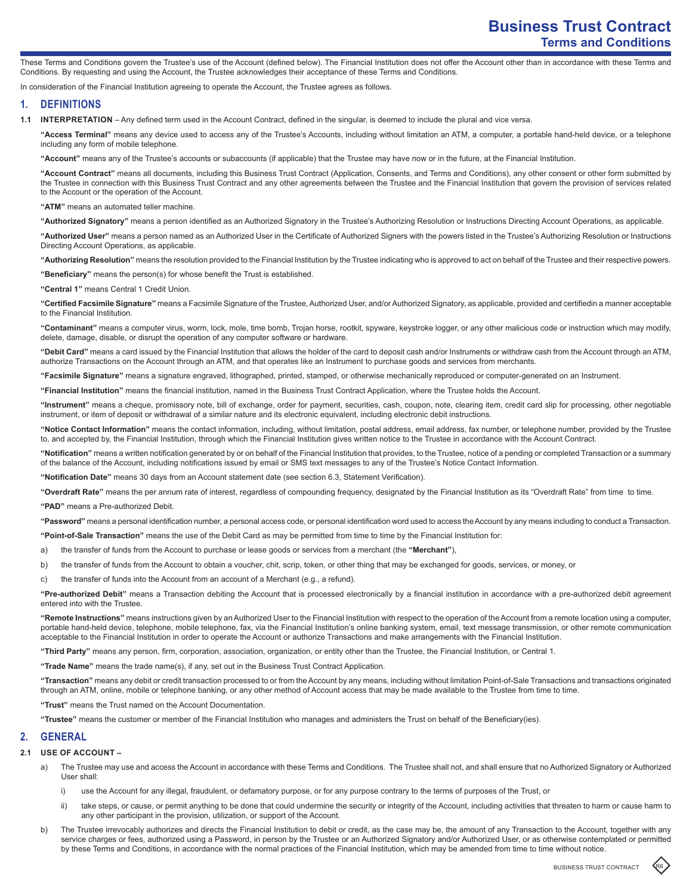These Terms and Conditions govern the Trustee's use of the Account (defined below). The Financial Institution does not offer the Account other than in accordance with these Terms and Conditions. By requesting and using the Account, the Trustee acknowledges their acceptance of these Terms and Conditions.

In consideration of the Financial Institution agreeing to operate the Account, the Trustee agrees as follows.

## **1. DEFINITIONS**

**1.1 INTERPRETATION** – Any defined term used in the Account Contract, defined in the singular, is deemed to include the plural and vice versa.

**"Access Terminal"** means any device used to access any of the Trustee's Accounts, including without limitation an ATM, a computer, a portable hand-held device, or a telephone including any form of mobile telephone.

**"Account"** means any of the Trustee's accounts or subaccounts (if applicable) that the Trustee may have now or in the future, at the Financial Institution.

**"Account Contract"** means all documents, including this Business Trust Contract (Application, Consents, and Terms and Conditions), any other consent or other form submitted by the Trustee in connection with this Business Trust Contract and any other agreements between the Trustee and the Financial Institution that govern the provision of services related to the Account or the operation of the Account.

**"ATM"** means an automated teller machine.

**"Authorized Signatory"** means a person identified as an Authorized Signatory in the Trustee's Authorizing Resolution or Instructions Directing Account Operations, as applicable.

**"Authorized User"** means a person named as an Authorized User in the Certificate of Authorized Signers with the powers listed in the Trustee's Authorizing Resolution or Instructions Directing Account Operations, as applicable.

**"Authorizing Resolution"** means the resolution provided to the Financial Institution by the Trustee indicating who is approved to act on behalf of the Trustee and their respective powers. **"Beneficiary"** means the person(s) for whose benefit the Trust is established.

**"Central 1"** means Central 1 Credit Union.

**"Certified Facsimile Signature"** means a Facsimile Signature of the Trustee, Authorized User, and/or Authorized Signatory, as applicable, provided and certifiedin a manner acceptable to the Financial Institution.

**"Contaminant"** means a computer virus, worm, lock, mole, time bomb, Trojan horse, rootkit, spyware, keystroke logger, or any other malicious code or instruction which may modify, delete, damage, disable, or disrupt the operation of any computer software or hardware.

**"Debit Card"** means a card issued by the Financial Institution that allows the holder of the card to deposit cash and/or Instruments or withdraw cash from the Account through an ATM, authorize Transactions on the Account through an ATM, and that operates like an Instrument to purchase goods and services from merchants.

**"Facsimile Signature"** means a signature engraved, lithographed, printed, stamped, or otherwise mechanically reproduced or computer-generated on an Instrument.

**"Financial Institution"** means the financial institution, named in the Business Trust Contract Application, where the Trustee holds the Account.

**"Instrument"** means a cheque, promissory note, bill of exchange, order for payment, securities, cash, coupon, note, clearing item, credit card slip for processing, other negotiable instrument, or item of deposit or withdrawal of a similar nature and its electronic equivalent, including electronic debit instructions.

**"Notice Contact Information"** means the contact information, including, without limitation, postal address, email address, fax number, or telephone number, provided by the Trustee to, and accepted by, the Financial Institution, through which the Financial Institution gives written notice to the Trustee in accordance with the Account Contract.

**"Notification"** means a written notification generated by or on behalf of the Financial Institution that provides, to the Trustee, notice of a pending or completed Transaction or a summary of the balance of the Account, including notifications issued by email or SMS text messages to any of the Trustee's Notice Contact Information.

**"Notification Date"** means 30 days from an Account statement date (see section 6.3, Statement Verification).

**"Overdraft Rate"** means the per annum rate of interest, regardless of compounding frequency, designated by the Financial Institution as its "Overdraft Rate" from time to time.

**"PAD"** means a Pre-authorized Debit.

**"Password"** means a personal identification number, a personal access code, or personal identification word used to access the Account by any means including to conduct a Transaction.

**"Point-of-Sale Transaction"** means the use of the Debit Card as may be permitted from time to time by the Financial Institution for:

a) the transfer of funds from the Account to purchase or lease goods or services from a merchant (the **"Merchant"**),

b) the transfer of funds from the Account to obtain a voucher, chit, scrip, token, or other thing that may be exchanged for goods, services, or money, or

c) the transfer of funds into the Account from an account of a Merchant (e.g., a refund).

**"Pre-authorized Debit"** means a Transaction debiting the Account that is processed electronically by a financial institution in accordance with a pre-authorized debit agreement entered into with the Trustee.

**"Remote Instructions"** means instructions given by an Authorized User to the Financial Institution with respect to the operation of the Account from a remote location using a computer, portable hand-held device, telephone, mobile telephone, fax, via the Financial Institution's online banking system, email, text message transmission, or other remote communication acceptable to the Financial Institution in order to operate the Account or authorize Transactions and make arrangements with the Financial Institution.

**"Third Party"** means any person, firm, corporation, association, organization, or entity other than the Trustee, the Financial Institution, or Central 1.

**"Trade Name"** means the trade name(s), if any, set out in the Business Trust Contract Application.

**"Transaction"** means any debit or credit transaction processed to or from the Account by any means, including without limitation Point-of-Sale Transactions and transactions originated through an ATM, online, mobile or telephone banking, or any other method of Account access that may be made available to the Trustee from time to time.

**"Trust"** means the Trust named on the Account Documentation.

**"Trustee"** means the customer or member of the Financial Institution who manages and administers the Trust on behalf of the Beneficiary(ies).

## **2. GENERAL**

### **2.1 USE OF ACCOUNT –**

- a) The Trustee may use and access the Account in accordance with these Terms and Conditions. The Trustee shall not, and shall ensure that no Authorized Signatory or Authorized User shall:
	- i) use the Account for any illegal, fraudulent, or defamatory purpose, or for any purpose contrary to the terms of purposes of the Trust, or
	- ii) take steps, or cause, or permit anything to be done that could undermine the security or integrity of the Account, including activities that threaten to harm or cause harm to any other participant in the provision, utilization, or support of the Account.
- b) The Trustee irrevocably authorizes and directs the Financial Institution to debit or credit, as the case may be, the amount of any Transaction to the Account, together with any service charges or fees, authorized using a Password, in person by the Trustee or an Authorized Signatory and/or Authorized User, or as otherwise contemplated or permitted by these Terms and Conditions, in accordance with the normal practices of the Financial Institution, which may be amended from time to time without notice.

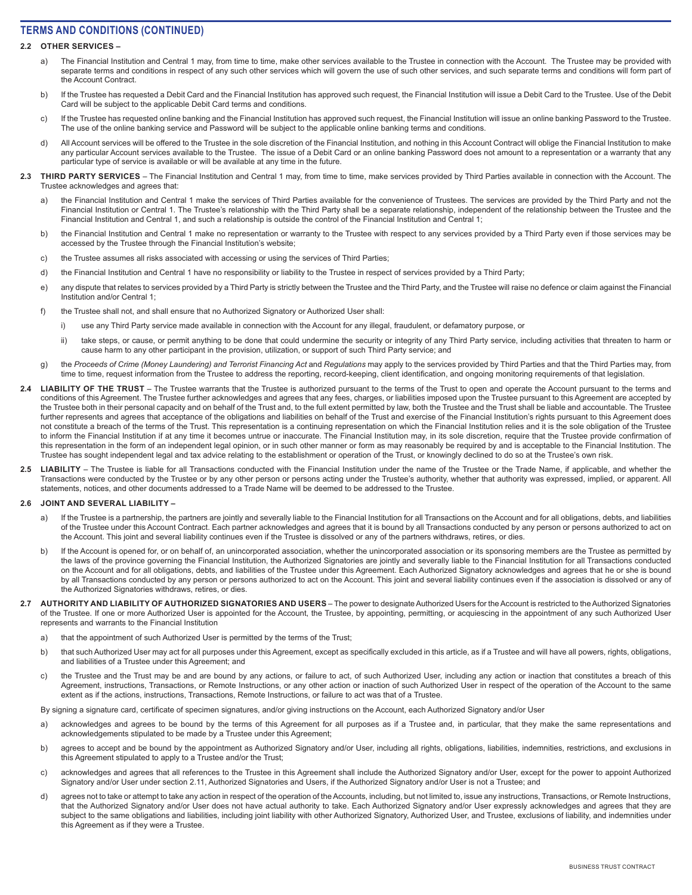### **2.2 OTHER SERVICES –**

- a) The Financial Institution and Central 1 may, from time to time, make other services available to the Trustee in connection with the Account. The Trustee may be provided with separate terms and conditions in respect of any such other services which will govern the use of such other services, and such separate terms and conditions will form part of the Account Contract.
- b) If the Trustee has requested a Debit Card and the Financial Institution has approved such request, the Financial Institution will issue a Debit Card to the Trustee. Use of the Debit Card will be subject to the applicable Debit Card terms and conditions.
- c) If the Trustee has requested online banking and the Financial Institution has approved such request, the Financial Institution will issue an online banking Password to the Trustee. The use of the online banking service and Password will be subject to the applicable online banking terms and conditions.
- d) All Account services will be offered to the Trustee in the sole discretion of the Financial Institution, and nothing in this Account Contract will oblige the Financial Institution to make any particular Account services available to the Trustee. The issue of a Debit Card or an online banking Password does not amount to a representation or a warranty that any particular type of service is available or will be available at any time in the future.
- **2.3 THIRD PARTY SERVICES**  The Financial Institution and Central 1 may, from time to time, make services provided by Third Parties available in connection with the Account. The Trustee acknowledges and agrees that:
	- a) the Financial Institution and Central 1 make the services of Third Parties available for the convenience of Trustees. The services are provided by the Third Party and not the Financial Institution or Central 1. The Trustee's relationship with the Third Party shall be a separate relationship, independent of the relationship between the Trustee and the Financial Institution and Central 1, and such a relationship is outside the control of the Financial Institution and Central 1;
	- b) the Financial Institution and Central 1 make no representation or warranty to the Trustee with respect to any services provided by a Third Party even if those services may be accessed by the Trustee through the Financial Institution's website;
	- c) the Trustee assumes all risks associated with accessing or using the services of Third Parties;
	- d) the Financial Institution and Central 1 have no responsibility or liability to the Trustee in respect of services provided by a Third Party;
	- e) any dispute that relates to services provided by a Third Party is strictly between the Trustee and the Third Party, and the Trustee will raise no defence or claim against the Financial Institution and/or Central 1;
	- f) the Trustee shall not, and shall ensure that no Authorized Signatory or Authorized User shall:
		- i) use any Third Party service made available in connection with the Account for any illegal, fraudulent, or defamatory purpose, or
		- ii) take steps, or cause, or permit anything to be done that could undermine the security or integrity of any Third Party service, including activities that threaten to harm or cause harm to any other participant in the provision, utilization, or support of such Third Party service; and
	- g) the *Proceeds of Crime (Money Laundering) and Terrorist Financing Act* and *Regulations* may apply to the services provided by Third Parties and that the Third Parties may, from time to time, request information from the Trustee to address the reporting, record-keeping, client identification, and ongoing monitoring requirements of that legislation.
- 2.4 LIABILITY OF THE TRUST The Trustee warrants that the Trustee is authorized pursuant to the terms of the Trust to open and operate the Account pursuant to the terms and conditions of this Agreement. The Trustee further acknowledges and agrees that any fees, charges, or liabilities imposed upon the Trustee pursuant to this Agreement are accepted by the Trustee both in their personal capacity and on behalf of the Trust and, to the full extent permitted by law, both the Trustee and the Trust shall be liable and accountable. The Trustee further represents and agrees that acceptance of the obligations and liabilities on behalf of the Trust and exercise of the Financial Institution's rights pursuant to this Agreement does not constitute a breach of the terms of the Trust. This representation is a continuing representation on which the Financial Institution relies and it is the sole obligation of the Trustee to inform the Financial Institution if at any time it becomes untrue or inaccurate. The Financial Institution may, in its sole discretion, require that the Trustee provide confirmation of this representation in the form of an independent legal opinion, or in such other manner or form as may reasonably be required by and is acceptable to the Financial Institution. The Trustee has sought independent legal and tax advice relating to the establishment or operation of the Trust, or knowingly declined to do so at the Trustee's own risk.
- 2.5 **LIABILITY** The Trustee is liable for all Transactions conducted with the Financial Institution under the name of the Trustee or the Trade Name, if applicable, and whether the Transactions were conducted by the Trustee or by any other person or persons acting under the Trustee's authority, whether that authority was expressed, implied, or apparent. All statements, notices, and other documents addressed to a Trade Name will be deemed to be addressed to the Trustee.

#### **2.6 JOINT AND SEVERAL LIABILITY –**

- a) If the Trustee is a partnership, the partners are jointly and severally liable to the Financial Institution for all Transactions on the Account and for all obligations, debts, and liabilities of the Trustee under this Account Contract. Each partner acknowledges and agrees that it is bound by all Transactions conducted by any person or persons authorized to act on the Account. This joint and several liability continues even if the Trustee is dissolved or any of the partners withdraws, retires, or dies.
- b) If the Account is opened for, or on behalf of, an unincorporated association, whether the unincorporated association or its sponsoring members are the Trustee as permitted by the laws of the province governing the Financial Institution, the Authorized Signatories are jointly and severally liable to the Financial Institution for all Transactions conducted on the Account and for all obligations, debts, and liabilities of the Trustee under this Agreement. Each Authorized Signatory acknowledges and agrees that he or she is bound by all Transactions conducted by any person or persons authorized to act on the Account. This joint and several liability continues even if the association is dissolved or any of the Authorized Signatories withdraws, retires, or dies.
- **2.7 AUTHORITY AND LIABILITY OF AUTHORIZED SIGNATORIES AND USERS**  The power to designate Authorized Users for the Account is restricted to the Authorized Signatories of the Trustee. If one or more Authorized User is appointed for the Account, the Trustee, by appointing, permitting, or acquiescing in the appointment of any such Authorized User represents and warrants to the Financial Institution
	- a) that the appointment of such Authorized User is permitted by the terms of the Trust;
	- b) that such Authorized User may act for all purposes under this Agreement, except as specifically excluded in this article, as if a Trustee and will have all powers, rights, obligations, and liabilities of a Trustee under this Agreement; and
	- c) the Trustee and the Trust may be and are bound by any actions, or failure to act, of such Authorized User, including any action or inaction that constitutes a breach of this Agreement, instructions, Transactions, or Remote Instructions, or any other action or inaction of such Authorized User in respect of the operation of the Account to the same extent as if the actions, instructions, Transactions, Remote Instructions, or failure to act was that of a Trustee.

By signing a signature card, certificate of specimen signatures, and/or giving instructions on the Account, each Authorized Signatory and/or User

- a) acknowledges and agrees to be bound by the terms of this Agreement for all purposes as if a Trustee and, in particular, that they make the same representations and acknowledgements stipulated to be made by a Trustee under this Agreement;
- b) agrees to accept and be bound by the appointment as Authorized Signatory and/or User, including all rights, obligations, liabilities, indemnities, restrictions, and exclusions in this Agreement stipulated to apply to a Trustee and/or the Trust;
- c) acknowledges and agrees that all references to the Trustee in this Agreement shall include the Authorized Signatory and/or User, except for the power to appoint Authorized Signatory and/or User under section 2.11, Authorized Signatories and Users, if the Authorized Signatory and/or User is not a Trustee; and
- d) agrees not to take or attempt to take any action in respect of the operation of the Accounts, including, but not limited to, issue any instructions, Transactions, or Remote Instructions, that the Authorized Signatory and/or User does not have actual authority to take. Each Authorized Signatory and/or User expressly acknowledges and agrees that they are subject to the same obligations and liabilities, including joint liability with other Authorized Signatory, Authorized User, and Trustee, exclusions of liability, and indemnities under this Agreement as if they were a Trustee.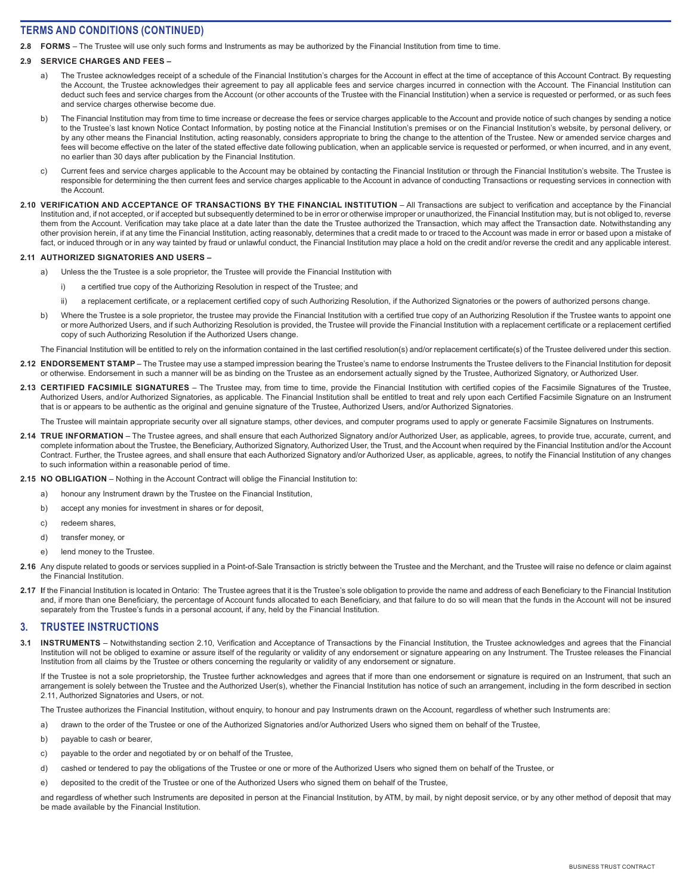**2.8 FORMS** – The Trustee will use only such forms and Instruments as may be authorized by the Financial Institution from time to time.

### **2.9 SERVICE CHARGES AND FEES –**

- a) The Trustee acknowledges receipt of a schedule of the Financial Institution's charges for the Account in effect at the time of acceptance of this Account Contract. By requesting the Account, the Trustee acknowledges their agreement to pay all applicable fees and service charges incurred in connection with the Account. The Financial Institution can deduct such fees and service charges from the Account (or other accounts of the Trustee with the Financial Institution) when a service is requested or performed, or as such fees and service charges otherwise become due.
- b) The Financial Institution may from time to time increase or decrease the fees or service charges applicable to the Account and provide notice of such changes by sending a notice to the Trustee's last known Notice Contact Information, by posting notice at the Financial Institution's premises or on the Financial Institution's website, by personal delivery, or by any other means the Financial Institution, acting reasonably, considers appropriate to bring the change to the attention of the Trustee. New or amended service charges and fees will become effective on the later of the stated effective date following publication, when an applicable service is requested or performed, or when incurred, and in any event, no earlier than 30 days after publication by the Financial Institution.
- c) Current fees and service charges applicable to the Account may be obtained by contacting the Financial Institution or through the Financial Institution's website. The Trustee is responsible for determining the then current fees and service charges applicable to the Account in advance of conducting Transactions or requesting services in connection with the Account.
- 2.10 VERIFICATION AND ACCEPTANCE OF TRANSACTIONS BY THE FINANCIAL INSTITUTION All Transactions are subject to verification and acceptance by the Financial Institution and, if not accepted, or if accepted but subsequently determined to be in error or otherwise improper or unauthorized, the Financial Institution may, but is not obliged to, reverse them from the Account. Verification may take place at a date later than the date the Trustee authorized the Transaction, which may affect the Transaction date. Notwithstanding any other provision herein, if at any time the Financial Institution, acting reasonably, determines that a credit made to or traced to the Account was made in error or based upon a mistake of fact, or induced through or in any way tainted by fraud or unlawful conduct, the Financial Institution may place a hold on the credit and/or reverse the credit and any applicable interest.

#### **2.11 AUTHORIZED SIGNATORIES AND USERS –**

- a) Unless the the Trustee is a sole proprietor, the Trustee will provide the Financial Institution with
	- i) a certified true copy of the Authorizing Resolution in respect of the Trustee; and
	- ii) a replacement certificate, or a replacement certified copy of such Authorizing Resolution, if the Authorized Signatories or the powers of authorized persons change.
- b) Where the Trustee is a sole proprietor, the trustee may provide the Financial Institution with a certified true copy of an Authorizing Resolution if the Trustee wants to appoint one or more Authorized Users, and if such Authorizing Resolution is provided, the Trustee will provide the Financial Institution with a replacement certificate or a replacement certified copy of such Authorizing Resolution if the Authorized Users change.

The Financial Institution will be entitled to rely on the information contained in the last certified resolution(s) and/or replacement certificate(s) of the Trustee delivered under this section.

- 2.12 **ENDORSEMENT STAMP** The Trustee may use a stamped impression bearing the Trustee's name to endorse Instruments the Trustee delivers to the Financial Institution for deposit or otherwise. Endorsement in such a manner will be as binding on the Trustee as an endorsement actually signed by the Trustee, Authorized Signatory, or Authorized User.
- **2.13 CERTIFIED FACSIMILE SIGNATURES**  The Trustee may, from time to time, provide the Financial Institution with certified copies of the Facsimile Signatures of the Trustee, Authorized Users, and/or Authorized Signatories, as applicable. The Financial Institution shall be entitled to treat and rely upon each Certified Facsimile Signature on an Instrument that is or appears to be authentic as the original and genuine signature of the Trustee, Authorized Users, and/or Authorized Signatories.

The Trustee will maintain appropriate security over all signature stamps, other devices, and computer programs used to apply or generate Facsimile Signatures on Instruments.

- 2.14 TRUE INFORMATION The Trustee agrees, and shall ensure that each Authorized Signatory and/or Authorized User, as applicable, agrees, to provide true, accurate, current, and complete information about the Trustee, the Beneficiary, Authorized Signatory, Authorized User, the Trust, and the Account when required by the Financial Institution and/or the Account Contract. Further, the Trustee agrees, and shall ensure that each Authorized Signatory and/or Authorized User, as applicable, agrees, to notify the Financial Institution of any changes to such information within a reasonable period of time.
- **2.15 NO OBLIGATION**  Nothing in the Account Contract will oblige the Financial Institution to:
	- a) honour any Instrument drawn by the Trustee on the Financial Institution,
	- b) accept any monies for investment in shares or for deposit,
	- c) redeem shares,
	- d) transfer money, or
	- e) lend money to the Trustee.
- 2.16 Any dispute related to goods or services supplied in a Point-of-Sale Transaction is strictly between the Trustee and the Merchant, and the Trustee will raise no defence or claim against the Financial Institution.
- 2.17 If the Financial Institution is located in Ontario: The Trustee agrees that it is the Trustee's sole obligation to provide the name and address of each Beneficiary to the Financial Institution and, if more than one Beneficiary, the percentage of Account funds allocated to each Beneficiary, and that failure to do so will mean that the funds in the Account will not be insured separately from the Trustee's funds in a personal account, if any, held by the Financial Institution.

## **3. TRUSTEE INSTRUCTIONS**

**3.1 INSTRUMENTS** – Notwithstanding section 2.10, Verification and Acceptance of Transactions by the Financial Institution, the Trustee acknowledges and agrees that the Financial Institution will not be obliged to examine or assure itself of the regularity or validity of any endorsement or signature appearing on any Instrument. The Trustee releases the Financial Institution from all claims by the Trustee or others concerning the regularity or validity of any endorsement or signature.

If the Trustee is not a sole proprietorship, the Trustee further acknowledges and agrees that if more than one endorsement or signature is required on an Instrument, that such an arrangement is solely between the Trustee and the Authorized User(s), whether the Financial Institution has notice of such an arrangement, including in the form described in section 2.11, Authorized Signatories and Users, or not.

The Trustee authorizes the Financial Institution, without enquiry, to honour and pay Instruments drawn on the Account, regardless of whether such Instruments are:

a) drawn to the order of the Trustee or one of the Authorized Signatories and/or Authorized Users who signed them on behalf of the Trustee,

- b) payable to cash or bearer,
- c) payable to the order and negotiated by or on behalf of the Trustee,
- d) cashed or tendered to pay the obligations of the Trustee or one or more of the Authorized Users who signed them on behalf of the Trustee, or
- e) deposited to the credit of the Trustee or one of the Authorized Users who signed them on behalf of the Trustee,

and regardless of whether such Instruments are deposited in person at the Financial Institution, by ATM, by mail, by night deposit service, or by any other method of deposit that may be made available by the Financial Institution.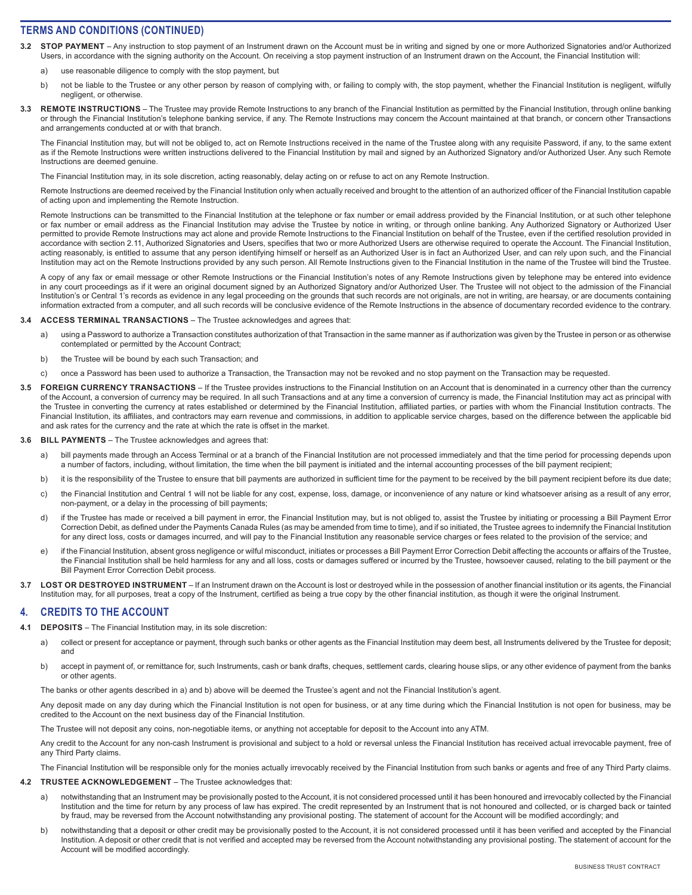- **3.2 STOP PAYMENT**  Any instruction to stop payment of an Instrument drawn on the Account must be in writing and signed by one or more Authorized Signatories and/or Authorized Users, in accordance with the signing authority on the Account. On receiving a stop payment instruction of an Instrument drawn on the Account, the Financial Institution will:
	- a) use reasonable diligence to comply with the stop payment, but
	- b) not be liable to the Trustee or any other person by reason of complying with, or failing to comply with, the stop payment, whether the Financial Institution is negligent, wilfully negligent, or otherwise.
- 3.3 REMOTE INSTRUCTIONS The Trustee may provide Remote Instructions to any branch of the Financial Institution as permitted by the Financial Institution, through online banking or through the Financial Institution's telephone banking service, if any. The Remote Instructions may concern the Account maintained at that branch, or concern other Transactions and arrangements conducted at or with that branch.

The Financial Institution may, but will not be obliged to, act on Remote Instructions received in the name of the Trustee along with any requisite Password, if any, to the same extent as if the Remote Instructions were written instructions delivered to the Financial Institution by mail and signed by an Authorized Signatory and/or Authorized User. Any such Remote Instructions are deemed genuine.

The Financial Institution may, in its sole discretion, acting reasonably, delay acting on or refuse to act on any Remote Instruction.

Remote Instructions are deemed received by the Financial Institution only when actually received and brought to the attention of an authorized officer of the Financial Institution capable of acting upon and implementing the Remote Instruction.

Remote Instructions can be transmitted to the Financial Institution at the telephone or fax number or email address provided by the Financial Institution, or at such other telephone or fax number or email address as the Financial Institution may advise the Trustee by notice in writing, or through online banking. Any Authorized Signatory or Authorized User permitted to provide Remote Instructions may act alone and provide Remote Instructions to the Financial Institution on behalf of the Trustee, even if the certified resolution provided in accordance with section 2.11, Authorized Signatories and Users, specifies that two or more Authorized Users are otherwise required to operate the Account. The Financial Institution, acting reasonably, is entitled to assume that any person identifying himself or herself as an Authorized User is in fact an Authorized User, and can rely upon such, and the Financial Institution may act on the Remote Instructions provided by any such person. All Remote Instructions given to the Financial Institution in the name of the Trustee will bind the Trustee.

A copy of any fax or email message or other Remote Instructions or the Financial Institution's notes of any Remote Instructions given by telephone may be entered into evidence in any court proceedings as if it were an original document signed by an Authorized Signatory and/or Authorized User. The Trustee will not object to the admission of the Financial Institution's or Central 1's records as evidence in any legal proceeding on the grounds that such records are not originals, are not in writing, are hearsay, or are documents containing information extracted from a computer, and all such records will be conclusive evidence of the Remote Instructions in the absence of documentary recorded evidence to the contrary.

#### **3.4 ACCESS TERMINAL TRANSACTIONS** – The Trustee acknowledges and agrees that:

- a) using a Password to authorize a Transaction constitutes authorization of that Transaction in the same manner as if authorization was given by the Trustee in person or as otherwise contemplated or permitted by the Account Contract;
- b) the Trustee will be bound by each such Transaction; and
- c) once a Password has been used to authorize a Transaction, the Transaction may not be revoked and no stop payment on the Transaction may be requested.
- **FOREIGN CURRENCY TRANSACTIONS** If the Trustee provides instructions to the Financial Institution on an Account that is denominated in a currency other than the currency of the Account, a conversion of currency may be required. In all such Transactions and at any time a conversion of currency is made, the Financial Institution may act as principal with the Trustee in converting the currency at rates established or determined by the Financial Institution, affiliated parties, or parties with whom the Financial Institution contracts. The Financial Institution, its affiliates, and contractors may earn revenue and commissions, in addition to applicable service charges, based on the difference between the applicable bid and ask rates for the currency and the rate at which the rate is offset in the market.

#### **3.6 BILL PAYMENTS** – The Trustee acknowledges and agrees that:

- a) bill payments made through an Access Terminal or at a branch of the Financial Institution are not processed immediately and that the time period for processing depends upon a number of factors, including, without limitation, the time when the bill payment is initiated and the internal accounting processes of the bill payment recipient;
- b) it is the responsibility of the Trustee to ensure that bill payments are authorized in sufficient time for the payment to be received by the bill payment recipient before its due date;
- c) the Financial Institution and Central 1 will not be liable for any cost, expense, loss, damage, or inconvenience of any nature or kind whatsoever arising as a result of any error, non-payment, or a delay in the processing of bill payments;
- d) if the Trustee has made or received a bill payment in error, the Financial Institution may, but is not obliged to, assist the Trustee by initiating or processing a Bill Payment Error Correction Debit, as defined under the Payments Canada Rules (as may be amended from time to time), and if so initiated, the Trustee agrees to indemnify the Financial Institution for any direct loss, costs or damages incurred, and will pay to the Financial Institution any reasonable service charges or fees related to the provision of the service; and
- e) if the Financial Institution, absent gross negligence or wilful misconduct, initiates or processes a Bill Payment Error Correction Debit affecting the accounts or affairs of the Trustee, the Financial Institution shall be held harmless for any and all loss, costs or damages suffered or incurred by the Trustee, howsoever caused, relating to the bill payment or the Bill Payment Error Correction Debit process.
- LOST OR DESTROYED INSTRUMENT If an Instrument drawn on the Account is lost or destroyed while in the possession of another financial institution or its agents, the Financial Institution may, for all purposes, treat a copy of the Instrument, certified as being a true copy by the other financial institution, as though it were the original Instrument.

## **4. CREDITS TO THE ACCOUNT**

- **4.1 DEPOSITS**  The Financial Institution may, in its sole discretion:
	- a) collect or present for acceptance or payment, through such banks or other agents as the Financial Institution may deem best, all Instruments delivered by the Trustee for deposit; and
	- b) accept in payment of, or remittance for, such Instruments, cash or bank drafts, cheques, settlement cards, clearing house slips, or any other evidence of payment from the banks or other agents.

The banks or other agents described in a) and b) above will be deemed the Trustee's agent and not the Financial Institution's agent.

Any deposit made on any day during which the Financial Institution is not open for business, or at any time during which the Financial Institution is not open for business, may be credited to the Account on the next business day of the Financial Institution.

The Trustee will not deposit any coins, non-negotiable items, or anything not acceptable for deposit to the Account into any ATM.

Any credit to the Account for any non-cash Instrument is provisional and subject to a hold or reversal unless the Financial Institution has received actual irrevocable payment, free of any Third Party claims.

The Financial Institution will be responsible only for the monies actually irrevocably received by the Financial Institution from such banks or agents and free of any Third Party claims.

- **4.2 TRUSTEE ACKNOWLEDGEMENT**  The Trustee acknowledges that:
	- a) notwithstanding that an Instrument may be provisionally posted to the Account, it is not considered processed until it has been honoured and irrevocably collected by the Financial Institution and the time for return by any process of law has expired. The credit represented by an Instrument that is not honoured and collected, or is charged back or tainted by fraud, may be reversed from the Account notwithstanding any provisional posting. The statement of account for the Account will be modified accordingly; and
	- b) notwithstanding that a deposit or other credit may be provisionally posted to the Account, it is not considered processed until it has been verified and accepted by the Financial Institution. A deposit or other credit that is not verified and accepted may be reversed from the Account notwithstanding any provisional posting. The statement of account for the Account will be modified accordingly.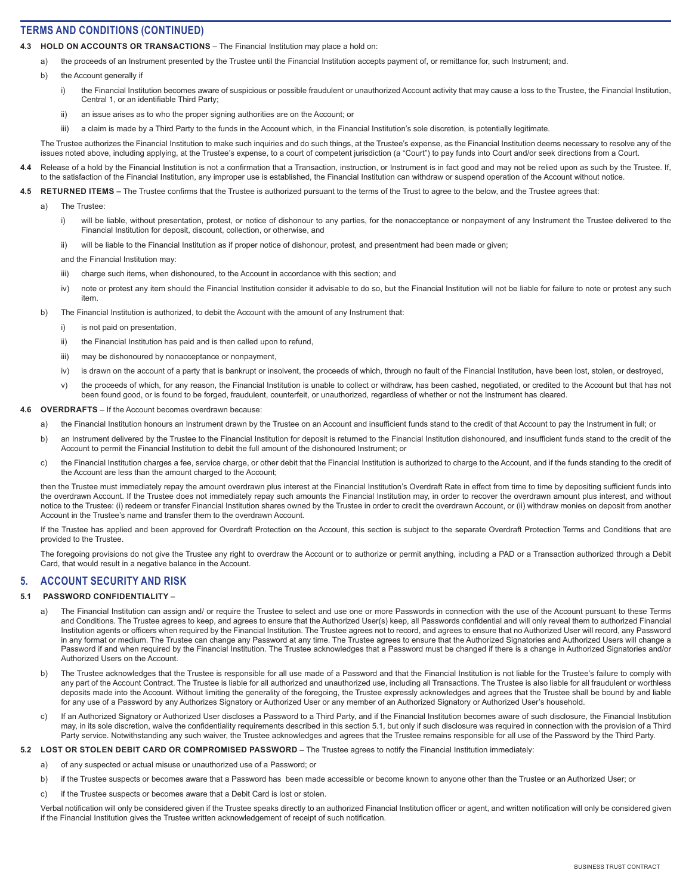- **4.3 HOLD ON ACCOUNTS OR TRANSACTIONS**  The Financial Institution may place a hold on:
	- a) the proceeds of an Instrument presented by the Trustee until the Financial Institution accepts payment of, or remittance for, such Instrument; and.
	- b) the Account generally if
		- i) the Financial Institution becomes aware of suspicious or possible fraudulent or unauthorized Account activity that may cause a loss to the Trustee, the Financial Institution, Central 1, or an identifiable Third Party;
		- ii) an issue arises as to who the proper signing authorities are on the Account; or
		- iii) a claim is made by a Third Party to the funds in the Account which, in the Financial Institution's sole discretion, is potentially legitimate.

The Trustee authorizes the Financial Institution to make such inquiries and do such things, at the Trustee's expense, as the Financial Institution deems necessary to resolve any of the issues noted above, including applying, at the Trustee's expense, to a court of competent jurisdiction (a "Court") to pay funds into Court and/or seek directions from a Court.

- 4.4 Release of a hold by the Financial Institution is not a confirmation that a Transaction, instruction, or Instrument is in fact good and may not be relied upon as such by the Trustee. If, to the satisfaction of the Financial Institution, any improper use is established, the Financial Institution can withdraw or suspend operation of the Account without notice.
- 4.5 RETURNED ITEMS The Trustee confirms that the Trustee is authorized pursuant to the terms of the Trust to agree to the below, and the Trustee agrees that:
	- a) The Trustee:
		- i) will be liable, without presentation, protest, or notice of dishonour to any parties, for the nonacceptance or nonpayment of any Instrument the Trustee delivered to the Financial Institution for deposit, discount, collection, or otherwise, and
		- ii) will be liable to the Financial Institution as if proper notice of dishonour, protest, and presentment had been made or given;
		- and the Financial Institution may:
		- iii) charge such items, when dishonoured, to the Account in accordance with this section; and
		- iv) note or protest any item should the Financial Institution consider it advisable to do so, but the Financial Institution will not be liable for failure to note or protest any such item.
	- b) The Financial Institution is authorized, to debit the Account with the amount of any Instrument that:
		- i) is not paid on presentation.
		- ii) the Financial Institution has paid and is then called upon to refund,
		- iii) may be dishonoured by nonacceptance or nonpayment,
		- iv) is drawn on the account of a party that is bankrupt or insolvent, the proceeds of which, through no fault of the Financial Institution, have been lost, stolen, or destroyed,
		- v) the proceeds of which, for any reason, the Financial Institution is unable to collect or withdraw, has been cashed, negotiated, or credited to the Account but that has not been found good, or is found to be forged, fraudulent, counterfeit, or unauthorized, regardless of whether or not the Instrument has cleared.
- **4.6 OVERDRAFTS**  If the Account becomes overdrawn because:
	- a) the Financial Institution honours an Instrument drawn by the Trustee on an Account and insufficient funds stand to the credit of that Account to pay the Instrument in full; or
	- b) an Instrument delivered by the Trustee to the Financial Institution for deposit is returned to the Financial Institution dishonoured, and insufficient funds stand to the credit of the Account to permit the Financial Institution to debit the full amount of the dishonoured Instrument; or
	- c) the Financial Institution charges a fee, service charge, or other debit that the Financial Institution is authorized to charge to the Account, and if the funds standing to the credit of the Account are less than the amount charged to the Account;

then the Trustee must immediately repay the amount overdrawn plus interest at the Financial Institution's Overdraft Rate in effect from time to time by depositing sufficient funds into the overdrawn Account. If the Trustee does not immediately repay such amounts the Financial Institution may, in order to recover the overdrawn amount plus interest, and without notice to the Trustee: (i) redeem or transfer Financial Institution shares owned by the Trustee in order to credit the overdrawn Account, or (ii) withdraw monies on deposit from another Account in the Trustee's name and transfer them to the overdrawn Account.

If the Trustee has applied and been approved for Overdraft Protection on the Account, this section is subject to the separate Overdraft Protection Terms and Conditions that are provided to the Trustee.

The foregoing provisions do not give the Trustee any right to overdraw the Account or to authorize or permit anything, including a PAD or a Transaction authorized through a Debit Card, that would result in a negative balance in the Account.

## **5. ACCOUNT SECURITY AND RISK**

### **5.1 PASSWORD CONFIDENTIALITY –**

- a) The Financial Institution can assign and/ or require the Trustee to select and use one or more Passwords in connection with the use of the Account pursuant to these Terms and Conditions. The Trustee agrees to keep, and agrees to ensure that the Authorized User(s) keep, all Passwords confidential and will only reveal them to authorized Financial Institution agents or officers when required by the Financial Institution. The Trustee agrees not to record, and agrees to ensure that no Authorized User will record, any Password in any format or medium. The Trustee can change any Password at any time. The Trustee agrees to ensure that the Authorized Signatories and Authorized Users will change a Password if and when required by the Financial Institution. The Trustee acknowledges that a Password must be changed if there is a change in Authorized Signatories and/or Authorized Users on the Account.
- b) The Trustee acknowledges that the Trustee is responsible for all use made of a Password and that the Financial Institution is not liable for the Trustee's failure to comply with any part of the Account Contract. The Trustee is liable for all authorized and unauthorized use, including all Transactions. The Trustee is also liable for all fraudulent or worthless deposits made into the Account. Without limiting the generality of the foregoing, the Trustee expressly acknowledges and agrees that the Trustee shall be bound by and liable for any use of a Password by any Authorizes Signatory or Authorized User or any member of an Authorized Signatory or Authorized User's household.
- c) If an Authorized Signatory or Authorized User discloses a Password to a Third Party, and if the Financial Institution becomes aware of such disclosure, the Financial Institution may, in its sole discretion, waive the confidentiality requirements described in this section 5.1, but only if such disclosure was required in connection with the provision of a Third Party service. Notwithstanding any such waiver, the Trustee acknowledges and agrees that the Trustee remains responsible for all use of the Password by the Third Party.

## **5.2** LOST OR STOLEN DEBIT CARD OR COMPROMISED PASSWORD - The Trustee agrees to notify the Financial Institution immediately:

- a) of any suspected or actual misuse or unauthorized use of a Password; or
- b) if the Trustee suspects or becomes aware that a Password has been made accessible or become known to anyone other than the Trustee or an Authorized User; or
- c) if the Trustee suspects or becomes aware that a Debit Card is lost or stolen.

Verbal notification will only be considered given if the Trustee speaks directly to an authorized Financial Institution officer or agent, and written notification will only be considered given if the Financial Institution gives the Trustee written acknowledgement of receipt of such notification.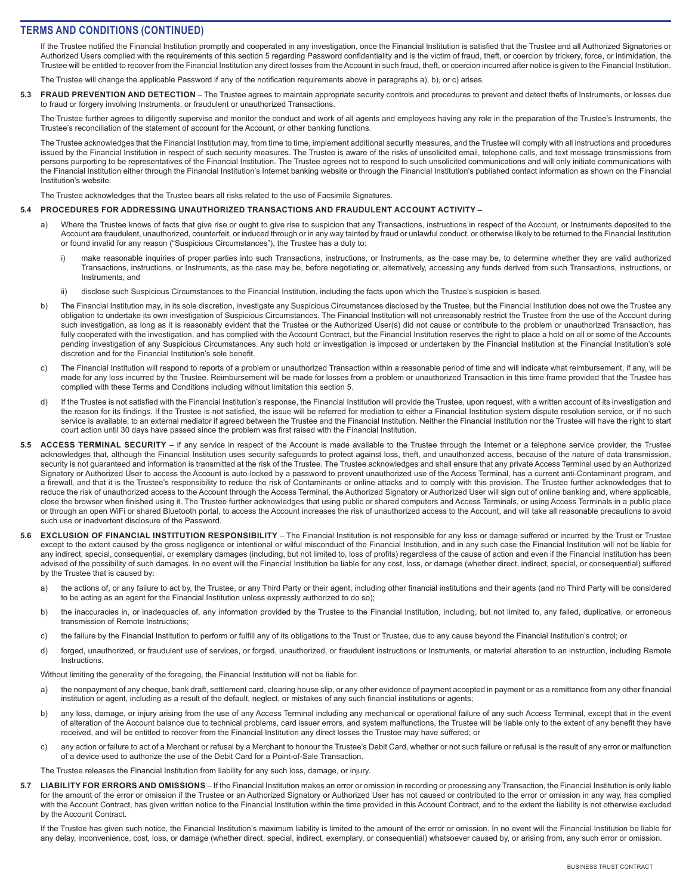If the Trustee notified the Financial Institution promptly and cooperated in any investigation, once the Financial Institution is satisfied that the Trustee and all Authorized Signatories or Authorized Users complied with the requirements of this section 5 regarding Password confidentiality and is the victim of fraud, theft, or coercion by trickery, force, or intimidation, the Trustee will be entitled to recover from the Financial Institution any direct losses from the Account in such fraud, theft, or coercion incurred after notice is given to the Financial Institution.

The Trustee will change the applicable Password if any of the notification requirements above in paragraphs a), b), or c) arises.

**5.3 FRAUD PREVENTION AND DETECTION** – The Trustee agrees to maintain appropriate security controls and procedures to prevent and detect thefts of Instruments, or losses due to fraud or forgery involving Instruments, or fraudulent or unauthorized Transactions.

The Trustee further agrees to diligently supervise and monitor the conduct and work of all agents and employees having any role in the preparation of the Trustee's Instruments, the Trustee's reconciliation of the statement of account for the Account, or other banking functions.

The Trustee acknowledges that the Financial Institution may, from time to time, implement additional security measures, and the Trustee will comply with all instructions and procedures issued by the Financial Institution in respect of such security measures. The Trustee is aware of the risks of unsolicited email, telephone calls, and text message transmissions from persons purporting to be representatives of the Financial Institution. The Trustee agrees not to respond to such unsolicited communications and will only initiate communications with the Financial Institution either through the Financial Institution's Internet banking website or through the Financial Institution's published contact information as shown on the Financial Institution's website.

The Trustee acknowledges that the Trustee bears all risks related to the use of Facsimile Signatures.

#### **5.4 PROCEDURES FOR ADDRESSING UNAUTHORIZED TRANSACTIONS AND FRAUDULENT ACCOUNT ACTIVITY –**

- a) Where the Trustee knows of facts that give rise or ought to give rise to suspicion that any Transactions, instructions in respect of the Account, or Instruments deposited to the Account are fraudulent, unauthorized, counterfeit, or induced through or in any way tainted by fraud or unlawful conduct, or otherwise likely to be returned to the Financial Institution or found invalid for any reason ("Suspicious Circumstances"), the Trustee has a duty to:
	- i) make reasonable inquiries of proper parties into such Transactions, instructions, or Instruments, as the case may be, to determine whether they are valid authorized Transactions, instructions, or Instruments, as the case may be, before negotiating or, alternatively, accessing any funds derived from such Transactions, instructions, or Instruments, and
	- ii) disclose such Suspicious Circumstances to the Financial Institution, including the facts upon which the Trustee's suspicion is based.
- b) The Financial Institution may, in its sole discretion, investigate any Suspicious Circumstances disclosed by the Trustee, but the Financial Institution does not owe the Trustee any obligation to undertake its own investigation of Suspicious Circumstances. The Financial Institution will not unreasonably restrict the Trustee from the use of the Account during such investigation, as long as it is reasonably evident that the Trustee or the Authorized User(s) did not cause or contribute to the problem or unauthorized Transaction, has fully cooperated with the investigation, and has complied with the Account Contract, but the Financial Institution reserves the right to place a hold on all or some of the Accounts pending investigation of any Suspicious Circumstances. Any such hold or investigation is imposed or undertaken by the Financial Institution at the Financial Institution's sole discretion and for the Financial Institution's sole benefit.
- c) The Financial Institution will respond to reports of a problem or unauthorized Transaction within a reasonable period of time and will indicate what reimbursement, if any, will be made for any loss incurred by the Trustee. Reimbursement will be made for losses from a problem or unauthorized Transaction in this time frame provided that the Trustee has complied with these Terms and Conditions including without limitation this section 5.
- d) If the Trustee is not satisfied with the Financial Institution's response, the Financial Institution will provide the Trustee, upon request, with a written account of its investigation and the reason for its findings. If the Trustee is not satisfied, the issue will be referred for mediation to either a Financial Institution system dispute resolution service, or if no such service is available, to an external mediator if agreed between the Trustee and the Financial Institution. Neither the Financial Institution nor the Trustee will have the right to start court action until 30 days have passed since the problem was first raised with the Financial Institution.
- 5.5 ACCESS TERMINAL SECURITY If any service in respect of the Account is made available to the Trustee through the Internet or a telephone service provider, the Trustee acknowledges that, although the Financial Institution uses security safeguards to protect against loss, theft, and unauthorized access, because of the nature of data transmission, security is not guaranteed and information is transmitted at the risk of the Trustee. The Trustee acknowledges and shall ensure that any private Access Terminal used by an Authorized Signatory or Authorized User to access the Account is auto-locked by a password to prevent unauthorized use of the Access Terminal, has a current anti-Contaminant program, and a firewall, and that it is the Trustee's responsibility to reduce the risk of Contaminants or online attacks and to comply with this provision. The Trustee further acknowledges that to reduce the risk of unauthorized access to the Account through the Access Terminal, the Authorized Signatory or Authorized User will sign out of online banking and, where applicable, close the browser when finished using it. The Trustee further acknowledges that using public or shared computers and Access Terminals, or using Access Terminals in a public place or through an open WiFi or shared Bluetooth portal, to access the Account increases the risk of unauthorized access to the Account, and will take all reasonable precautions to avoid such use or inadvertent disclosure of the Password.
- **5.6 EXCLUSION OF FINANCIAL INSTITUTION RESPONSIBILITY** The Financial Institution is not responsible for any loss or damage suffered or incurred by the Trust or Trustee except to the extent caused by the gross negligence or intentional or wilful misconduct of the Financial Institution, and in any such case the Financial Institution will not be liable for any indirect, special, consequential, or exemplary damages (including, but not limited to, loss of profits) regardless of the cause of action and even if the Financial Institution has been advised of the possibility of such damages. In no event will the Financial Institution be liable for any cost, loss, or damage (whether direct, indirect, special, or consequential) suffered by the Trustee that is caused by:
	- a) the actions of, or any failure to act by, the Trustee, or any Third Party or their agent, including other financial institutions and their agents (and no Third Party will be considered to be acting as an agent for the Financial Institution unless expressly authorized to do so);
	- b) the inaccuracies in, or inadequacies of, any information provided by the Trustee to the Financial Institution, including, but not limited to, any failed, duplicative, or erroneous transmission of Remote Instructions;
	- c) the failure by the Financial Institution to perform or fulfill any of its obligations to the Trust or Trustee, due to any cause beyond the Financial Institution's control; or
	- d) forged, unauthorized, or fraudulent use of services, or forged, unauthorized, or fraudulent instructions or Instruments, or material alteration to an instruction, including Remote **Instructions**

Without limiting the generality of the foregoing, the Financial Institution will not be liable for:

- a) the nonpayment of any cheque, bank draft, settlement card, clearing house slip, or any other evidence of payment accepted in payment or as a remittance from any other financial institution or agent, including as a result of the default, neglect, or mistakes of any such financial institutions or agents;
- b) any loss, damage, or injury arising from the use of any Access Terminal including any mechanical or operational failure of any such Access Terminal, except that in the event of alteration of the Account balance due to technical problems, card issuer errors, and system malfunctions, the Trustee will be liable only to the extent of any benefit they have received, and will be entitled to recover from the Financial Institution any direct losses the Trustee may have suffered; or
- c) any action or failure to act of a Merchant or refusal by a Merchant to honour the Trustee's Debit Card, whether or not such failure or refusal is the result of any error or malfunction of a device used to authorize the use of the Debit Card for a Point-of-Sale Transaction.

The Trustee releases the Financial Institution from liability for any such loss, damage, or injury.

5.7 LIABILITY FOR ERRORS AND OMISSIONS – If the Financial Institution makes an error or omission in recording or processing any Transaction, the Financial Institution is only liable for the amount of the error or omission if the Trustee or an Authorized Signatory or Authorized User has not caused or contributed to the error or omission in any way, has complied with the Account Contract, has given written notice to the Financial Institution within the time provided in this Account Contract, and to the extent the liability is not otherwise excluded by the Account Contract.

If the Trustee has given such notice, the Financial Institution's maximum liability is limited to the amount of the error or omission. In no event will the Financial Institution be liable for any delay, inconvenience, cost, loss, or damage (whether direct, special, indirect, exemplary, or consequential) whatsoever caused by, or arising from, any such error or omission.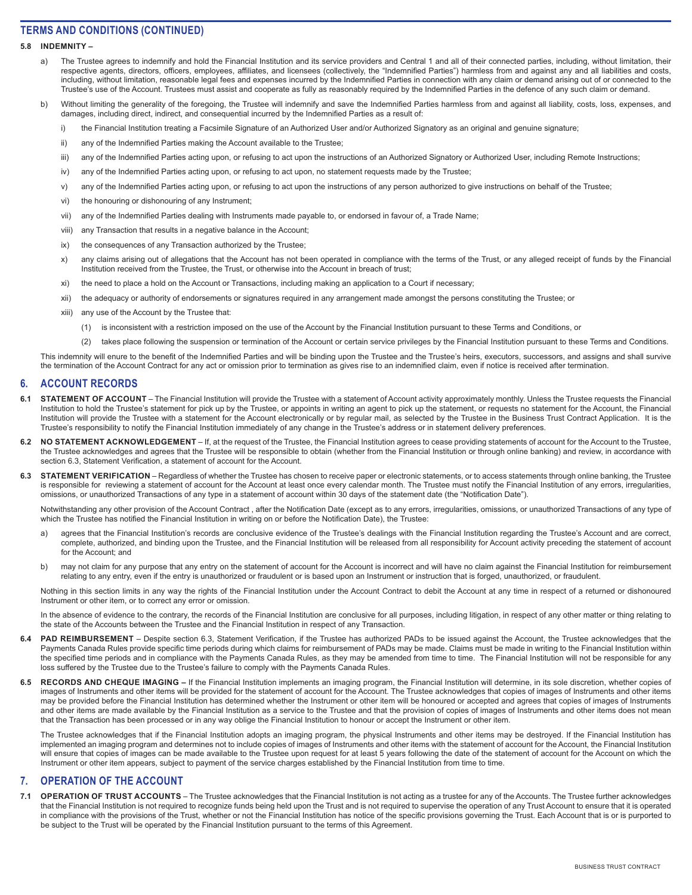### **5.8 INDEMNITY –**

- a) The Trustee agrees to indemnify and hold the Financial Institution and its service providers and Central 1 and all of their connected parties, including, without limitation, their respective agents, directors, officers, employees, affiliates, and licensees (collectively, the "Indemnified Parties") harmless from and against any and all liabilities and costs, including, without limitation, reasonable legal fees and expenses incurred by the Indemnified Parties in connection with any claim or demand arising out of or connected to the Trustee's use of the Account. Trustees must assist and cooperate as fully as reasonably required by the Indemnified Parties in the defence of any such claim or demand.
- Without limiting the generality of the foregoing, the Trustee will indemnify and save the Indemnified Parties harmless from and against all liability, costs, loss, expenses, and damages, including direct, indirect, and consequential incurred by the Indemnified Parties as a result of:
	- i) the Financial Institution treating a Facsimile Signature of an Authorized User and/or Authorized Signatory as an original and genuine signature;
	- ii) any of the Indemnified Parties making the Account available to the Trustee;
	- iii) any of the Indemnified Parties acting upon, or refusing to act upon the instructions of an Authorized Signatory or Authorized User, including Remote Instructions;
	- iv) any of the Indemnified Parties acting upon, or refusing to act upon, no statement requests made by the Trustee;
	- v) any of the Indemnified Parties acting upon, or refusing to act upon the instructions of any person authorized to give instructions on behalf of the Trustee;
	- vi) the honouring or dishonouring of any Instrument;
	- vii) any of the Indemnified Parties dealing with Instruments made payable to, or endorsed in favour of, a Trade Name;
	- viii) any Transaction that results in a negative balance in the Account;
	- ix) the consequences of any Transaction authorized by the Trustee;
	- x) any claims arising out of allegations that the Account has not been operated in compliance with the terms of the Trust, or any alleged receipt of funds by the Financial Institution received from the Trustee, the Trust, or otherwise into the Account in breach of trust;
	- xi) the need to place a hold on the Account or Transactions, including making an application to a Court if necessary;
	- xii) the adequacy or authority of endorsements or signatures required in any arrangement made amongst the persons constituting the Trustee; or
	- xiii) any use of the Account by the Trustee that:
		- (1) is inconsistent with a restriction imposed on the use of the Account by the Financial Institution pursuant to these Terms and Conditions, or
		- (2) takes place following the suspension or termination of the Account or certain service privileges by the Financial Institution pursuant to these Terms and Conditions.

This indemnity will enure to the benefit of the Indemnified Parties and will be binding upon the Trustee and the Trustee's heirs, executors, successors, and assigns and shall survive the termination of the Account Contract for any act or omission prior to termination as gives rise to an indemnified claim, even if notice is received after termination.

### **6. ACCOUNT RECORDS**

- 6.1 STATEMENT OF ACCOUNT The Financial Institution will provide the Trustee with a statement of Account activity approximately monthly. Unless the Trustee requests the Financial Institution to hold the Trustee's statement for pick up by the Trustee, or appoints in writing an agent to pick up the statement, or requests no statement for the Account, the Financial Institution will provide the Trustee with a statement for the Account electronically or by regular mail, as selected by the Trustee in the Business Trust Contract Application. It is the Trustee's responsibility to notify the Financial Institution immediately of any change in the Trustee's address or in statement delivery preferences.
- 6.2 NO STATEMENT ACKNOWLEDGEMENT If, at the request of the Trustee, the Financial Institution agrees to cease providing statements of account for the Account to the Trustee, the Trustee acknowledges and agrees that the Trustee will be responsible to obtain (whether from the Financial Institution or through online banking) and review, in accordance with section 6.3, Statement Verification, a statement of account for the Account.
- 6.3 STATEMENT VERIFICATION Regardless of whether the Trustee has chosen to receive paper or electronic statements, or to access statements through online banking, the Trustee is responsible for reviewing a statement of account for the Account at least once every calendar month. The Trustee must notify the Financial Institution of any errors, irregularities, omissions, or unauthorized Transactions of any type in a statement of account within 30 days of the statement date (the "Notification Date").

Notwithstanding any other provision of the Account Contract , after the Notification Date (except as to any errors, irregularities, omissions, or unauthorized Transactions of any type of which the Trustee has notified the Financial Institution in writing on or before the Notification Date), the Trustee:

- a) agrees that the Financial Institution's records are conclusive evidence of the Trustee's dealings with the Financial Institution regarding the Trustee's Account and are correct, complete, authorized, and binding upon the Trustee, and the Financial Institution will be released from all responsibility for Account activity preceding the statement of account for the Account; and
- b) may not claim for any purpose that any entry on the statement of account for the Account is incorrect and will have no claim against the Financial Institution for reimbursement relating to any entry, even if the entry is unauthorized or fraudulent or is based upon an Instrument or instruction that is forged, unauthorized, or fraudulent.

Nothing in this section limits in any way the rights of the Financial Institution under the Account Contract to debit the Account at any time in respect of a returned or dishonoured Instrument or other item, or to correct any error or omission.

In the absence of evidence to the contrary, the records of the Financial Institution are conclusive for all purposes, including litigation, in respect of any other matter or thing relating to the state of the Accounts between the Trustee and the Financial Institution in respect of any Transaction.

- 6.4 PAD REIMBURSEMENT Despite section 6.3, Statement Verification, if the Trustee has authorized PADs to be issued against the Account, the Trustee acknowledges that the Payments Canada Rules provide specific time periods during which claims for reimbursement of PADs may be made. Claims must be made in writing to the Financial Institution within the specified time periods and in compliance with the Payments Canada Rules, as they may be amended from time to time. The Financial Institution will not be responsible for any loss suffered by the Trustee due to the Trustee's failure to comply with the Payments Canada Rules.
- 6.5 RECORDS AND CHEQUE IMAGING If the Financial Institution implements an imaging program, the Financial Institution will determine, in its sole discretion, whether copies of images of Instruments and other items will be provided for the statement of account for the Account. The Trustee acknowledges that copies of images of Instruments and other items may be provided before the Financial Institution has determined whether the Instrument or other item will be honoured or accepted and agrees that copies of images of Instruments and other items are made available by the Financial Institution as a service to the Trustee and that the provision of copies of images of Instruments and other items does not mean that the Transaction has been processed or in any way oblige the Financial Institution to honour or accept the Instrument or other item.

The Trustee acknowledges that if the Financial Institution adopts an imaging program, the physical Instruments and other items may be destroyed. If the Financial Institution has implemented an imaging program and determines not to include copies of images of Instruments and other items with the statement of account for the Account, the Financial Institution will ensure that copies of images can be made available to the Trustee upon request for at least 5 years following the date of the statement of account for the Account on which the Instrument or other item appears, subject to payment of the service charges established by the Financial Institution from time to time.

## **7. OPERATION OF THE ACCOUNT**

**7.1 OPERATION OF TRUST ACCOUNTS** – The Trustee acknowledges that the Financial Institution is not acting as a trustee for any of the Accounts. The Trustee further acknowledges that the Financial Institution is not required to recognize funds being held upon the Trust and is not required to supervise the operation of any Trust Account to ensure that it is operated in compliance with the provisions of the Trust, whether or not the Financial Institution has notice of the specific provisions governing the Trust. Each Account that is or is purported to be subject to the Trust will be operated by the Financial Institution pursuant to the terms of this Agreement.